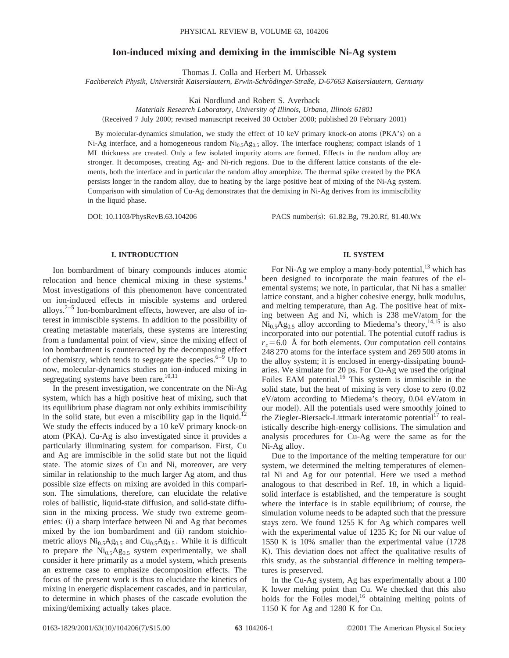# **Ion-induced mixing and demixing in the immiscible Ni-Ag system**

Thomas J. Colla and Herbert M. Urbassek

*Fachbereich Physik, Universita¨t Kaiserslautern, Erwin-Schro¨dinger-Straße, D-67663 Kaiserslautern, Germany*

Kai Nordlund and Robert S. Averback

*Materials Research Laboratory, University of Illinois, Urbana, Illinois 61801*

(Received 7 July 2000; revised manuscript received 30 October 2000; published 20 February 2001)

By molecular-dynamics simulation, we study the effect of 10 keV primary knock-on atoms  $(PKA's)$  on a Ni-Ag interface, and a homogeneous random  $Ni<sub>0.5</sub>Ag<sub>0.5</sub>$  alloy. The interface roughens; compact islands of 1 ML thickness are created. Only a few isolated impurity atoms are formed. Effects in the random alloy are stronger. It decomposes, creating Ag- and Ni-rich regions. Due to the different lattice constants of the elements, both the interface and in particular the random alloy amorphize. The thermal spike created by the PKA persists longer in the random alloy, due to heating by the large positive heat of mixing of the Ni-Ag system. Comparison with simulation of Cu-Ag demonstrates that the demixing in Ni-Ag derives from its immiscibility in the liquid phase.

DOI: 10.1103/PhysRevB.63.104206 PACS number(s): 61.82.Bg, 79.20.Rf, 81.40.Wx

### **I. INTRODUCTION**

Ion bombardment of binary compounds induces atomic relocation and hence chemical mixing in these systems.<sup>1</sup> Most investigations of this phenomenon have concentrated on ion-induced effects in miscible systems and ordered alloys. $2-5$  Ion-bombardment effects, however, are also of interest in immiscible systems. In addition to the possibility of creating metastable materials, these systems are interesting from a fundamental point of view, since the mixing effect of ion bombardment is counteracted by the decomposing effect of chemistry, which tends to segregate the species.<sup>6–9</sup> Up to now, molecular-dynamics studies on ion-induced mixing in segregating systems have been rare.<sup>10,11</sup>

In the present investigation, we concentrate on the Ni-Ag system, which has a high positive heat of mixing, such that its equilibrium phase diagram not only exhibits immiscibility in the solid state, but even a miscibility gap in the liquid.<sup>12</sup> We study the effects induced by a 10 keV primary knock-on atom (PKA). Cu-Ag is also investigated since it provides a particularly illuminating system for comparison. First, Cu and Ag are immiscible in the solid state but not the liquid state. The atomic sizes of Cu and Ni, moreover, are very similar in relationship to the much larger Ag atom, and thus possible size effects on mixing are avoided in this comparison. The simulations, therefore, can elucidate the relative roles of ballistic, liquid-state diffusion, and solid-state diffusion in the mixing process. We study two extreme geometries: (i) a sharp interface between Ni and Ag that becomes mixed by the ion bombardment and (ii) random stoichiometric alloys  $Ni<sub>0.5</sub>Ag<sub>0.5</sub>$  and  $Cu<sub>0.5</sub>Ag<sub>0.5</sub>$ . While it is difficult to prepare the  $Ni<sub>0.5</sub>Ag<sub>0.5</sub>$  system experimentally, we shall consider it here primarily as a model system, which presents an extreme case to emphasize decomposition effects. The focus of the present work is thus to elucidate the kinetics of mixing in energetic displacement cascades, and in particular, to determine in which phases of the cascade evolution the mixing/demixing actually takes place.

## **II. SYSTEM**

For Ni-Ag we employ a many-body potential, $^{13}$  which has been designed to incorporate the main features of the elemental systems; we note, in particular, that Ni has a smaller lattice constant, and a higher cohesive energy, bulk modulus, and melting temperature, than Ag. The positive heat of mixing between Ag and Ni, which is 238 meV/atom for the  $Ni<sub>0.5</sub>Ag<sub>0.5</sub>$  alloy according to Miedema's theory,<sup>14,15</sup> is also incorporated into our potential. The potential cutoff radius is  $r_c$ =6.0 Å for both elements. Our computation cell contains 248 270 atoms for the interface system and 269 500 atoms in the alloy system; it is enclosed in energy-dissipating boundaries. We simulate for 20 ps. For Cu-Ag we used the original Foiles EAM potential.<sup>16</sup> This system is immiscible in the solid state, but the heat of mixing is very close to zero  $(0.02)$ eV/atom according to Miedema's theory, 0.04 eV/atom in our model). All the potentials used were smoothly joined to the Ziegler-Biersack-Littmark interatomic potential<sup>17</sup> to realistically describe high-energy collisions. The simulation and analysis procedures for Cu-Ag were the same as for the Ni-Ag alloy.

Due to the importance of the melting temperature for our system, we determined the melting temperatures of elemental Ni and Ag for our potential. Here we used a method analogous to that described in Ref. 18, in which a liquidsolid interface is established, and the temperature is sought where the interface is in stable equilibrium; of course, the simulation volume needs to be adapted such that the pressure stays zero. We found 1255 K for Ag which compares well with the experimental value of 1235 K; for Ni our value of 1550 K is  $10\%$  smaller than the experimental value  $(1728)$ K). This deviation does not affect the qualitative results of this study, as the substantial difference in melting temperatures is preserved.

In the Cu-Ag system, Ag has experimentally about a 100 K lower melting point than Cu. We checked that this also holds for the Foiles model,<sup>16</sup> obtaining melting points of 1150 K for Ag and 1280 K for Cu.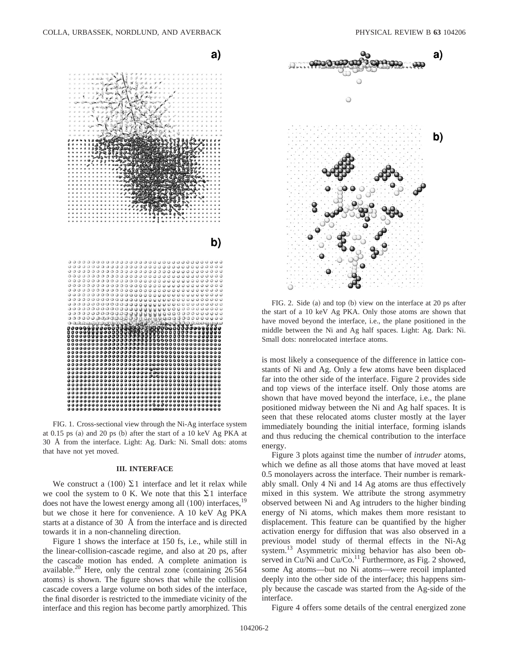

FIG. 2. Side  $(a)$  and top  $(b)$  view on the interface at 20 ps after the start of a 10 keV Ag PKA. Only those atoms are shown that have moved beyond the interface, i.e., the plane positioned in the middle between the Ni and Ag half spaces. Light: Ag. Dark: Ni. Small dots: nonrelocated interface atoms.

is most likely a consequence of the difference in lattice constants of Ni and Ag. Only a few atoms have been displaced far into the other side of the interface. Figure 2 provides side and top views of the interface itself. Only those atoms are shown that have moved beyond the interface, i.e., the plane positioned midway between the Ni and Ag half spaces. It is seen that these relocated atoms cluster mostly at the layer immediately bounding the initial interface, forming islands and thus reducing the chemical contribution to the interface energy.

Figure 3 plots against time the number of *intruder* atoms, which we define as all those atoms that have moved at least 0.5 monolayers across the interface. Their number is remarkably small. Only 4 Ni and 14 Ag atoms are thus effectively mixed in this system. We attribute the strong asymmetry observed between Ni and Ag intruders to the higher binding energy of Ni atoms, which makes them more resistant to displacement. This feature can be quantified by the higher activation energy for diffusion that was also observed in a previous model study of thermal effects in the Ni-Ag system.<sup>13</sup> Asymmetric mixing behavior has also been observed in Cu/Ni and Cu/Co.<sup>11</sup> Furthermore, as Fig. 2 showed, some Ag atoms—but no Ni atoms—were recoil implanted deeply into the other side of the interface; this happens simply because the cascade was started from the Ag-side of the interface.

Figure 4 offers some details of the central energized zone



FIG. 1. Cross-sectional view through the Ni-Ag interface system at  $0.15$  ps  $(a)$  and  $20$  ps  $(b)$  after the start of a  $10 \text{ keV}$  Ag PKA at 30 Å from the interface. Light: Ag. Dark: Ni. Small dots: atoms that have not yet moved.

# **III. INTERFACE**

We construct a (100)  $\Sigma$ 1 interface and let it relax while we cool the system to 0 K. We note that this  $\Sigma$ 1 interface does not have the lowest energy among all  $(100)$  interfaces,<sup>19</sup> but we chose it here for convenience. A 10 keV Ag PKA starts at a distance of 30 Å from the interface and is directed towards it in a non-channeling direction.

Figure 1 shows the interface at 150 fs, i.e., while still in the linear-collision-cascade regime, and also at 20 ps, after the cascade motion has ended. A complete animation is available.<sup>20</sup> Here, only the central zone (containing  $26\,564$ ) atoms) is shown. The figure shows that while the collision cascade covers a large volume on both sides of the interface, the final disorder is restricted to the immediate vicinity of the interface and this region has become partly amorphized. This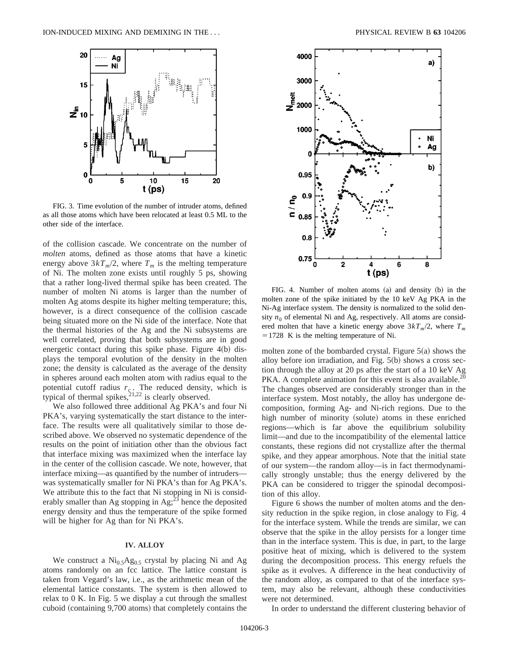

FIG. 3. Time evolution of the number of intruder atoms, defined as all those atoms which have been relocated at least 0.5 ML to the other side of the interface.

of the collision cascade. We concentrate on the number of *molten* atoms, defined as those atoms that have a kinetic energy above  $3kT_m/2$ , where  $T_m$  is the melting temperature of Ni. The molten zone exists until roughly 5 ps, showing that a rather long-lived thermal spike has been created. The number of molten Ni atoms is larger than the number of molten Ag atoms despite its higher melting temperature; this, however, is a direct consequence of the collision cascade being situated more on the Ni side of the interface. Note that the thermal histories of the Ag and the Ni subsystems are well correlated, proving that both subsystems are in good energetic contact during this spike phase. Figure  $4(b)$  displays the temporal evolution of the density in the molten zone; the density is calculated as the average of the density in spheres around each molten atom with radius equal to the potential cutoff radius  $r_c$ . The reduced density, which is typical of thermal spikes, $2^{1,22}$  is clearly observed.

We also followed three additional Ag PKA's and four Ni PKA's, varying systematically the start distance to the interface. The results were all qualitatively similar to those described above. We observed no systematic dependence of the results on the point of initiation other than the obvious fact that interface mixing was maximized when the interface lay in the center of the collision cascade. We note, however, that interface mixing—as quantified by the number of intruders was systematically smaller for Ni PKA's than for Ag PKA's. We attribute this to the fact that Ni stopping in Ni is considerably smaller than Ag stopping in  $\text{Ag};^{23}$  hence the deposited energy density and thus the temperature of the spike formed will be higher for Ag than for Ni PKA's.

#### **IV. ALLOY**

We construct a  $Ni<sub>0.5</sub>Ag<sub>0.5</sub>$  crystal by placing Ni and Ag atoms randomly on an fcc lattice. The lattice constant is taken from Vegard's law, i.e., as the arithmetic mean of the elemental lattice constants. The system is then allowed to relax to 0 K. In Fig. 5 we display a cut through the smallest cuboid (containing  $9,700$  atoms) that completely contains the



FIG. 4. Number of molten atoms  $(a)$  and density  $(b)$  in the molten zone of the spike initiated by the 10 keV Ag PKA in the Ni-Ag interface system. The density is normalized to the solid density  $n_0$  of elemental Ni and Ag, respectively. All atoms are considered molten that have a kinetic energy above  $3kT_m/2$ , where  $T_m$  $=1728$  K is the melting temperature of Ni.

molten zone of the bombarded crystal. Figure  $5(a)$  shows the alloy before ion irradiation, and Fig.  $5(b)$  shows a cross section through the alloy at 20 ps after the start of a 10 keV Ag PKA. A complete animation for this event is also available.<sup>20</sup> The changes observed are considerably stronger than in the interface system. Most notably, the alloy has undergone decomposition, forming Ag- and Ni-rich regions. Due to the high number of minority (solute) atoms in these enriched regions—which is far above the equilibrium solubility limit—and due to the incompatibility of the elemental lattice constants, these regions did not crystallize after the thermal spike, and they appear amorphous. Note that the initial state of our system—the random alloy—is in fact thermodynamically strongly unstable; thus the energy delivered by the PKA can be considered to trigger the spinodal decomposition of this alloy.

Figure 6 shows the number of molten atoms and the density reduction in the spike region, in close analogy to Fig. 4 for the interface system. While the trends are similar, we can observe that the spike in the alloy persists for a longer time than in the interface system. This is due, in part, to the large positive heat of mixing, which is delivered to the system during the decomposition process. This energy refuels the spike as it evolves. A difference in the heat conductivity of the random alloy, as compared to that of the interface system, may also be relevant, although these conductivities were not determined.

In order to understand the different clustering behavior of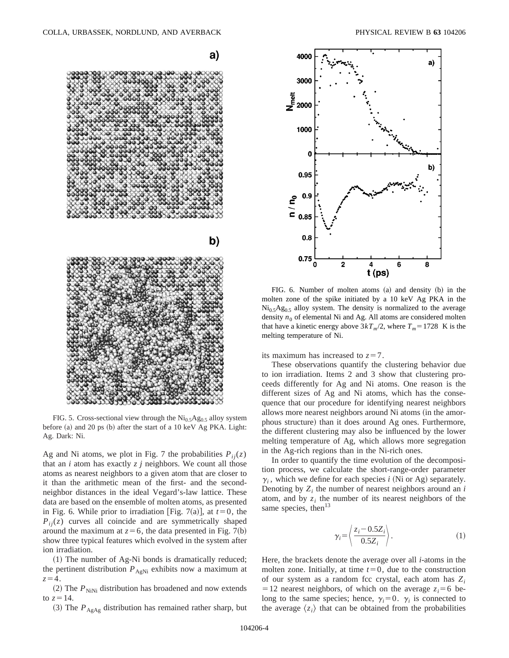

FIG. 5. Cross-sectional view through the  $Ni<sub>0.5</sub>Ag<sub>0.5</sub>$  alloy system before  $(a)$  and 20 ps  $(b)$  after the start of a 10 keV Ag PKA. Light: Ag. Dark: Ni.

Ag and Ni atoms, we plot in Fig. 7 the probabilities  $P_{ij}(z)$ that an *i* atom has exactly *z j* neighbors. We count all those atoms as nearest neighbors to a given atom that are closer to it than the arithmetic mean of the first- and the secondneighbor distances in the ideal Vegard's-law lattice. These data are based on the ensemble of molten atoms, as presented in Fig. 6. While prior to irradiation [Fig. 7(a)], at  $t=0$ , the  $P_{ii}(z)$  curves all coincide and are symmetrically shaped around the maximum at  $z=6$ , the data presented in Fig. 7(b) show three typical features which evolved in the system after ion irradiation.

(1) The number of Ag-Ni bonds is dramatically reduced; the pertinent distribution  $P_{\text{AgNi}}$  exhibits now a maximum at  $z = 4$ .

 $(2)$  The  $P_{\text{NiNi}}$  distribution has broadened and now extends to  $z = 14$ .

 $(3)$  The  $P_{AgAg}$  distribution has remained rather sharp, but



FIG. 6. Number of molten atoms  $(a)$  and density  $(b)$  in the molten zone of the spike initiated by a 10 keV Ag PKA in the  $Ni<sub>0.5</sub>Ag<sub>0.5</sub>$  alloy system. The density is normalized to the average density  $n_0$  of elemental Ni and Ag. All atoms are considered molten that have a kinetic energy above  $3kT_m/2$ , where  $T_m=1728$  K is the melting temperature of Ni.

its maximum has increased to  $z=7$ .

These observations quantify the clustering behavior due to ion irradiation. Items 2 and 3 show that clustering proceeds differently for Ag and Ni atoms. One reason is the different sizes of Ag and Ni atoms, which has the consequence that our procedure for identifying nearest neighbors allows more nearest neighbors around Ni atoms (in the amorphous structure) than it does around Ag ones. Furthermore, the different clustering may also be influenced by the lower melting temperature of Ag, which allows more segregation in the Ag-rich regions than in the Ni-rich ones.

In order to quantify the time evolution of the decomposition process, we calculate the short-range-order parameter  $\gamma_i$ , which we define for each species *i* (Ni or Ag) separately. Denoting by  $Z_i$  the number of nearest neighbors around an  $i$ atom, and by  $z_i$  the number of its nearest neighbors of the same species, then $13$ 

$$
\gamma_i = \left\langle \frac{z_i - 0.5Z_i}{0.5Z_i} \right\rangle. \tag{1}
$$

Here, the brackets denote the average over all *i*-atoms in the molten zone. Initially, at time  $t=0$ , due to the construction of our system as a random fcc crystal, each atom has *Zi*  $=$  12 nearest neighbors, of which on the average  $z_i$ =6 belong to the same species; hence,  $\gamma_i=0$ .  $\gamma_i$  is connected to the average  $\langle z_i \rangle$  that can be obtained from the probabilities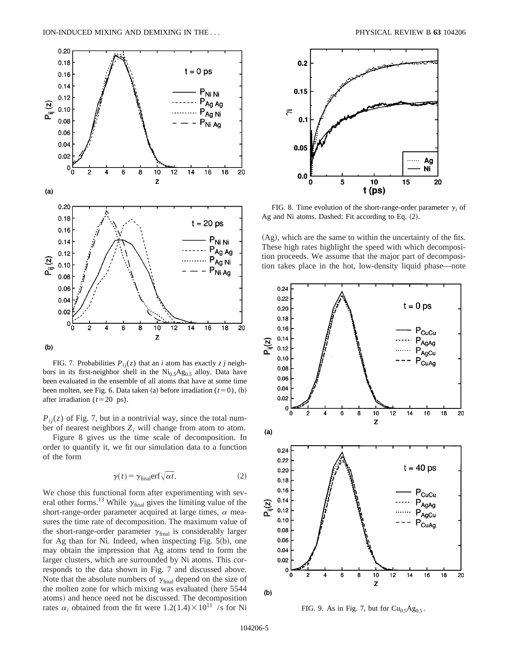

FIG. 7. Probabilities  $P_{ij}(z)$  that an *i* atom has exactly  $zj$  neighbors in its first-neighbor shell in the  $Ni<sub>0.5</sub>Ag<sub>0.5</sub>$  alloy. Data have been evaluated in the ensemble of all atoms that have at some time been molten, see Fig. 6. Data taken (a) before irradiation  $(t=0)$ , (b) after irradiation  $(t=20 \text{ ps})$ .

 $P_{ij}(z)$  of Fig. 7, but in a nontrivial way, since the total number of nearest neighbors  $Z_i$  will change from atom to atom.

Figure 8 gives us the time scale of decomposition. In order to quantify it, we fit our simulation data to a function of the form

$$
\gamma(t) = \gamma_{\text{final}} \text{erf}\sqrt{\alpha t}.\tag{2}
$$

We chose this functional form after experimenting with several other forms.<sup>13</sup> While  $\gamma_{\text{final}}$  gives the limiting value of the short-range-order parameter acquired at large times,  $\alpha$  measures the time rate of decomposition. The maximum value of the short-range-order parameter  $\gamma_{final}$  is considerably larger for Ag than for Ni. Indeed, when inspecting Fig.  $5(b)$ , one may obtain the impression that Ag atoms tend to form the larger clusters, which are surrounded by Ni atoms. This corresponds to the data shown in Fig. 7 and discussed above. Note that the absolute numbers of  $\gamma_{final}$  depend on the size of the molten zone for which mixing was evaluated (here 5544 atoms) and hence need not be discussed. The decomposition rates  $\alpha_i$  obtained from the fit were  $1.2(1.4) \times 10^{11}$  /s for Ni



FIG. 8. Time evolution of the short-range-order parameter  $\gamma$  of Ag and Ni atoms. Dashed: Fit according to Eq.  $(2)$ .

 $(Ag)$ , which are the same to within the uncertainty of the fits. These high rates highlight the speed with which decomposition proceeds. We assume that the major part of decomposition takes place in the hot, low-density liquid phase—note



FIG. 9. As in Fig. 7, but for  $Cu<sub>0.5</sub>Ag<sub>0.5</sub>$ .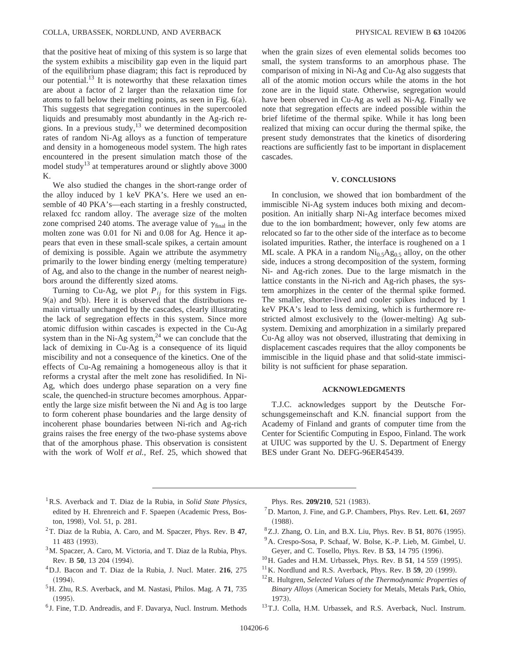that the positive heat of mixing of this system is so large that the system exhibits a miscibility gap even in the liquid part of the equilibrium phase diagram; this fact is reproduced by our potential.<sup>13</sup> It is noteworthy that these relaxation times are about a factor of 2 larger than the relaxation time for atoms to fall below their melting points, as seen in Fig.  $6(a)$ . This suggests that segregation continues in the supercooled liquids and presumably most abundantly in the Ag-rich regions. In a previous study, $13$  we determined decomposition rates of random Ni-Ag alloys as a function of temperature and density in a homogeneous model system. The high rates encountered in the present simulation match those of the model study<sup>13</sup> at temperatures around or slightly above 3000 K.

We also studied the changes in the short-range order of the alloy induced by 1 keV PKA's. Here we used an ensemble of 40 PKA's—each starting in a freshly constructed, relaxed fcc random alloy. The average size of the molten zone comprised 240 atoms. The average value of  $\gamma_{final}$  in the molten zone was 0.01 for Ni and 0.08 for Ag. Hence it appears that even in these small-scale spikes, a certain amount of demixing is possible. Again we attribute the asymmetry primarily to the lower binding energy (melting temperature) of Ag, and also to the change in the number of nearest neighbors around the differently sized atoms.

Turning to Cu-Ag, we plot  $P_{ij}$  for this system in Figs.  $9(a)$  and  $9(b)$ . Here it is observed that the distributions remain virtually unchanged by the cascades, clearly illustrating the lack of segregation effects in this system. Since more atomic diffusion within cascades is expected in the Cu-Ag system than in the Ni-Ag system, $24$  we can conclude that the lack of demixing in Cu-Ag is a consequence of its liquid miscibility and not a consequence of the kinetics. One of the effects of Cu-Ag remaining a homogeneous alloy is that it reforms a crystal after the melt zone has resolidified. In Ni-Ag, which does undergo phase separation on a very fine scale, the quenched-in structure becomes amorphous. Apparently the large size misfit between the Ni and Ag is too large to form coherent phase boundaries and the large density of incoherent phase boundaries between Ni-rich and Ag-rich grains raises the free energy of the two-phase systems above that of the amorphous phase. This observation is consistent with the work of Wolf *et al.*, Ref. 25, which showed that

when the grain sizes of even elemental solids becomes too small, the system transforms to an amorphous phase. The comparison of mixing in Ni-Ag and Cu-Ag also suggests that all of the atomic motion occurs while the atoms in the hot zone are in the liquid state. Otherwise, segregation would have been observed in Cu-Ag as well as Ni-Ag. Finally we note that segregation effects are indeed possible within the brief lifetime of the thermal spike. While it has long been realized that mixing can occur during the thermal spike, the present study demonstrates that the kinetics of disordering reactions are sufficiently fast to be important in displacement cascades.

#### **V. CONCLUSIONS**

In conclusion, we showed that ion bombardment of the immiscible Ni-Ag system induces both mixing and decomposition. An initially sharp Ni-Ag interface becomes mixed due to the ion bombardment; however, only few atoms are relocated so far to the other side of the interface as to become isolated impurities. Rather, the interface is roughened on a 1 ML scale. A PKA in a random  $Ni<sub>0.5</sub>Ag<sub>0.5</sub>$  alloy, on the other side, induces a strong decomposition of the system, forming Ni- and Ag-rich zones. Due to the large mismatch in the lattice constants in the Ni-rich and Ag-rich phases, the system amorphizes in the center of the thermal spike formed. The smaller, shorter-lived and cooler spikes induced by 1 keV PKA's lead to less demixing, which is furthermore restricted almost exclusively to the (lower-melting) Ag subsystem. Demixing and amorphization in a similarly prepared Cu-Ag alloy was not observed, illustrating that demixing in displacement cascades requires that the alloy components be immiscible in the liquid phase and that solid-state immiscibility is not sufficient for phase separation.

### **ACKNOWLEDGMENTS**

T.J.C. acknowledges support by the Deutsche Forschungsgemeinschaft and K.N. financial support from the Academy of Finland and grants of computer time from the Center for Scientific Computing in Espoo, Finland. The work at UIUC was supported by the U. S. Department of Energy BES under Grant No. DEFG-96ER45439.

- 1R.S. Averback and T. Diaz de la Rubia, in *Solid State Physics*, edited by H. Ehrenreich and F. Spaepen (Academic Press, Boston, 1998), Vol. 51, p. 281.
- 2T. Diaz de la Rubia, A. Caro, and M. Spaczer, Phys. Rev. B **47**, 11 483 (1993).
- $3<sup>3</sup>M$ . Spaczer, A. Caro, M. Victoria, and T. Diaz de la Rubia, Phys. Rev. B 50, 13 204 (1994).
- 4D.J. Bacon and T. Diaz de la Rubia, J. Nucl. Mater. **216**, 275  $(1994).$
- 5H. Zhu, R.S. Averback, and M. Nastasi, Philos. Mag. A **71**, 735  $(1995).$
- <sup>6</sup> J. Fine, T.D. Andreadis, and F. Davarya, Nucl. Instrum. Methods

Phys. Res. 209/210, 521 (1983).

- 7D. Marton, J. Fine, and G.P. Chambers, Phys. Rev. Lett. **61**, 2697  $(1988).$
- <sup>8</sup>Z.J. Zhang, O. Lin, and B.X. Liu, Phys. Rev. B **51**, 8076 (1995).
- <sup>9</sup>A. Crespo-Sosa, P. Schaaf, W. Bolse, K.-P. Lieb, M. Gimbel, U. Geyer, and C. Tosello, Phys. Rev. B 53, 14 795 (1996).
- $10$ H. Gades and H.M. Urbassek, Phys. Rev. B 51, 14 559 (1995).
- $11$ K. Nordlund and R.S. Averback, Phys. Rev. B 59, 20 (1999).
- 12R. Hultgren, *Selected Values of the Thermodynamic Properties of* **Binary Alloys** (American Society for Metals, Metals Park, Ohio, 1973).
- 13T.J. Colla, H.M. Urbassek, and R.S. Averback, Nucl. Instrum.